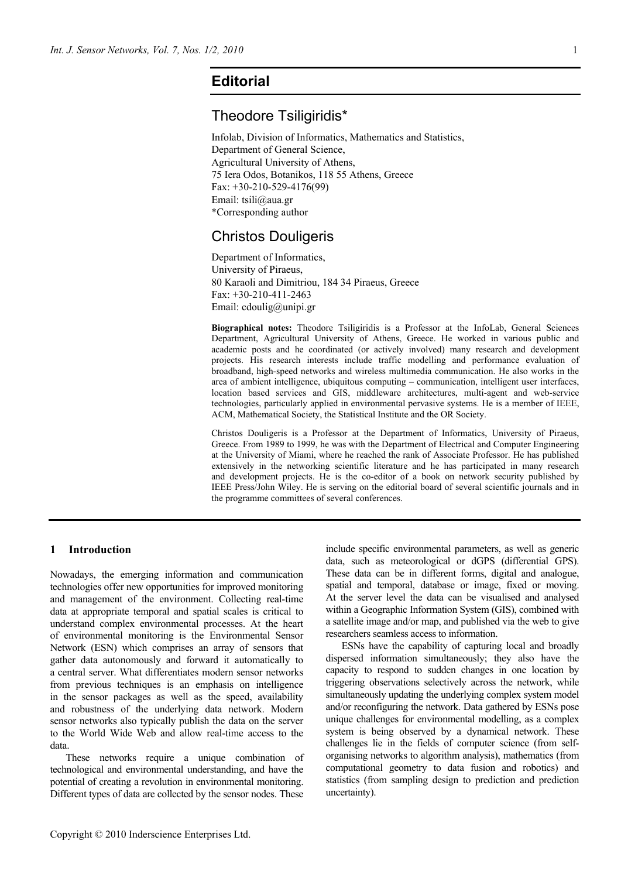# **Editorial**

## Theodore Tsiligiridis\*

Infolab, Division of Informatics, Mathematics and Statistics, Department of General Science, Agricultural University of Athens, 75 Iera Odos, Botanikos, 118 55 Athens, Greece Fax: +30-210-529-4176(99) Email: tsili@aua.gr \*Corresponding author

# Christos Douligeris

Department of Informatics, University of Piraeus, 80 Karaoli and Dimitriou, 184 34 Piraeus, Greece Fax: +30-210-411-2463 Email: cdoulig@unipi.gr

**Biographical notes:** Theodore Tsiligiridis is a Professor at the InfoLab, General Sciences Department, Agricultural University of Athens, Greece. He worked in various public and academic posts and he coordinated (or actively involved) many research and development projects. His research interests include traffic modelling and performance evaluation of broadband, high-speed networks and wireless multimedia communication. He also works in the area of ambient intelligence, ubiquitous computing – communication, intelligent user interfaces, location based services and GIS, middleware architectures, multi-agent and web-service technologies, particularly applied in environmental pervasive systems. He is a member of IEEE, ACM, Mathematical Society, the Statistical Institute and the OR Society.

Christos Douligeris is a Professor at the Department of Informatics, University of Piraeus, Greece. From 1989 to 1999, he was with the Department of Electrical and Computer Engineering at the University of Miami, where he reached the rank of Associate Professor. He has published extensively in the networking scientific literature and he has participated in many research and development projects. He is the co-editor of a book on network security published by IEEE Press/John Wiley. He is serving on the editorial board of several scientific journals and in the programme committees of several conferences.

## **1 Introduction**

Nowadays, the emerging information and communication technologies offer new opportunities for improved monitoring and management of the environment. Collecting real-time data at appropriate temporal and spatial scales is critical to understand complex environmental processes. At the heart of environmental monitoring is the Environmental Sensor Network (ESN) which comprises an array of sensors that gather data autonomously and forward it automatically to a central server. What differentiates modern sensor networks from previous techniques is an emphasis on intelligence in the sensor packages as well as the speed, availability and robustness of the underlying data network. Modern sensor networks also typically publish the data on the server to the World Wide Web and allow real-time access to the data.

These networks require a unique combination of technological and environmental understanding, and have the potential of creating a revolution in environmental monitoring. Different types of data are collected by the sensor nodes. These

include specific environmental parameters, as well as generic data, such as meteorological or dGPS (differential GPS). These data can be in different forms, digital and analogue, spatial and temporal, database or image, fixed or moving. At the server level the data can be visualised and analysed within a Geographic Information System (GIS), combined with a satellite image and/or map, and published via the web to give researchers seamless access to information.

ESNs have the capability of capturing local and broadly dispersed information simultaneously; they also have the capacity to respond to sudden changes in one location by triggering observations selectively across the network, while simultaneously updating the underlying complex system model and/or reconfiguring the network. Data gathered by ESNs pose unique challenges for environmental modelling, as a complex system is being observed by a dynamical network. These challenges lie in the fields of computer science (from selforganising networks to algorithm analysis), mathematics (from computational geometry to data fusion and robotics) and statistics (from sampling design to prediction and prediction uncertainty).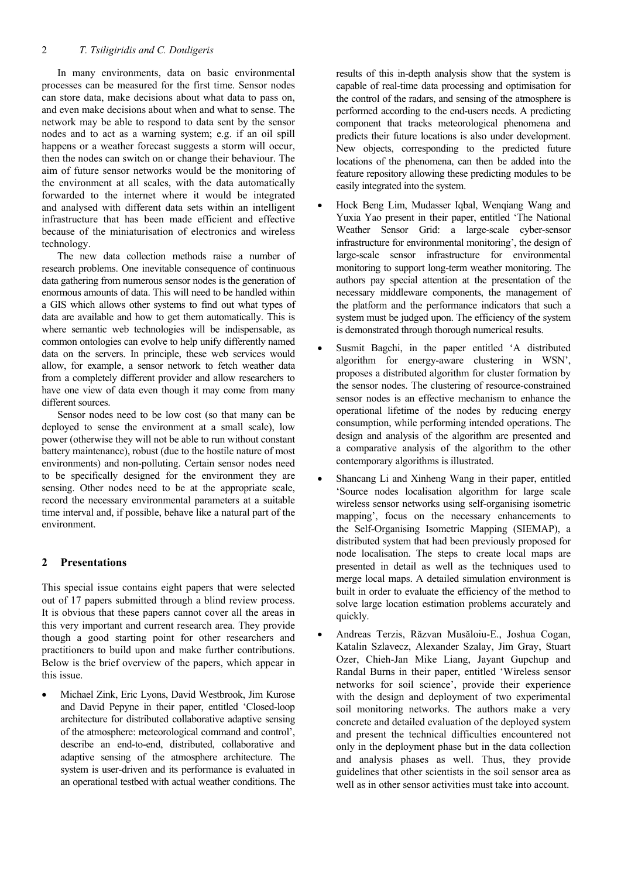In many environments, data on basic environmental processes can be measured for the first time. Sensor nodes can store data, make decisions about what data to pass on, and even make decisions about when and what to sense. The network may be able to respond to data sent by the sensor nodes and to act as a warning system; e.g. if an oil spill happens or a weather forecast suggests a storm will occur. then the nodes can switch on or change their behaviour. The aim of future sensor networks would be the monitoring of the environment at all scales, with the data automatically forwarded to the internet where it would be integrated and analysed with different data sets within an intelligent infrastructure that has been made efficient and effective because of the miniaturisation of electronics and wireless technology.

The new data collection methods raise a number of research problems. One inevitable consequence of continuous data gathering from numerous sensor nodes is the generation of enormous amounts of data. This will need to be handled within a GIS which allows other systems to find out what types of data are available and how to get them automatically. This is where semantic web technologies will be indispensable, as common ontologies can evolve to help unify differently named data on the servers. In principle, these web services would allow, for example, a sensor network to fetch weather data from a completely different provider and allow researchers to have one view of data even though it may come from many different sources.

Sensor nodes need to be low cost (so that many can be deployed to sense the environment at a small scale), low power (otherwise they will not be able to run without constant battery maintenance), robust (due to the hostile nature of most environments) and non-polluting. Certain sensor nodes need to be specifically designed for the environment they are sensing. Other nodes need to be at the appropriate scale, record the necessary environmental parameters at a suitable time interval and, if possible, behave like a natural part of the environment.

## **2 Presentations**

This special issue contains eight papers that were selected out of 17 papers submitted through a blind review process. It is obvious that these papers cannot cover all the areas in this very important and current research area. They provide though a good starting point for other researchers and practitioners to build upon and make further contributions. Below is the brief overview of the papers, which appear in this issue.

• Michael Zink, Eric Lyons, David Westbrook, Jim Kurose and David Pepyne in their paper, entitled 'Closed-loop architecture for distributed collaborative adaptive sensing of the atmosphere: meteorological command and control', describe an end-to-end, distributed, collaborative and adaptive sensing of the atmosphere architecture. The system is user-driven and its performance is evaluated in an operational testbed with actual weather conditions. The

results of this in-depth analysis show that the system is capable of real-time data processing and optimisation for the control of the radars, and sensing of the atmosphere is performed according to the end-users needs. A predicting component that tracks meteorological phenomena and predicts their future locations is also under development. New objects, corresponding to the predicted future locations of the phenomena, can then be added into the feature repository allowing these predicting modules to be easily integrated into the system.

- Hock Beng Lim, Mudasser Iqbal, Wenqiang Wang and Yuxia Yao present in their paper, entitled 'The National Weather Sensor Grid: a large-scale cyber-sensor infrastructure for environmental monitoring', the design of large-scale sensor infrastructure for environmental monitoring to support long-term weather monitoring. The authors pay special attention at the presentation of the necessary middleware components, the management of the platform and the performance indicators that such a system must be judged upon. The efficiency of the system is demonstrated through thorough numerical results.
- Susmit Bagchi, in the paper entitled 'A distributed algorithm for energy-aware clustering in WSN', proposes a distributed algorithm for cluster formation by the sensor nodes. The clustering of resource-constrained sensor nodes is an effective mechanism to enhance the operational lifetime of the nodes by reducing energy consumption, while performing intended operations. The design and analysis of the algorithm are presented and a comparative analysis of the algorithm to the other contemporary algorithms is illustrated.
- Shancang Li and Xinheng Wang in their paper, entitled 'Source nodes localisation algorithm for large scale wireless sensor networks using self-organising isometric mapping', focus on the necessary enhancements to the Self-Organising Isometric Mapping (SIEMAP), a distributed system that had been previously proposed for node localisation. The steps to create local maps are presented in detail as well as the techniques used to merge local maps. A detailed simulation environment is built in order to evaluate the efficiency of the method to solve large location estimation problems accurately and quickly.
- Andreas Terzis, Răzvan Musăloiu-E., Joshua Cogan, Katalin Szlavecz, Alexander Szalay, Jim Gray, Stuart Ozer, Chieh-Jan Mike Liang, Jayant Gupchup and Randal Burns in their paper, entitled 'Wireless sensor networks for soil science', provide their experience with the design and deployment of two experimental soil monitoring networks. The authors make a very concrete and detailed evaluation of the deployed system and present the technical difficulties encountered not only in the deployment phase but in the data collection and analysis phases as well. Thus, they provide guidelines that other scientists in the soil sensor area as well as in other sensor activities must take into account.